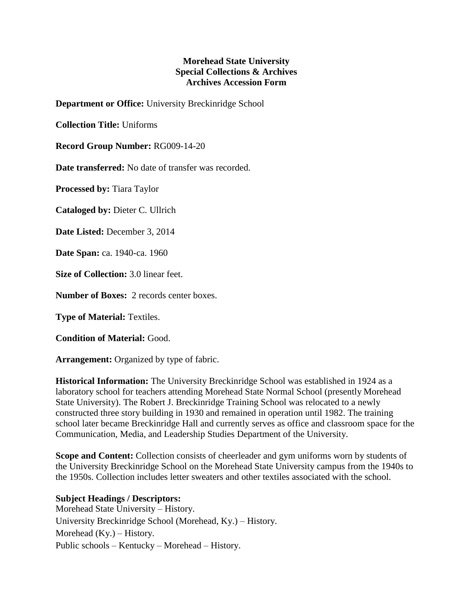## **Morehead State University Special Collections & Archives Archives Accession Form**

**Department or Office:** University Breckinridge School

**Collection Title:** Uniforms

**Record Group Number:** RG009-14-20

**Date transferred:** No date of transfer was recorded.

**Processed by:** Tiara Taylor

**Cataloged by:** Dieter C. Ullrich

**Date Listed:** December 3, 2014

**Date Span:** ca. 1940-ca. 1960

**Size of Collection:** 3.0 linear feet.

**Number of Boxes:** 2 records center boxes.

**Type of Material:** Textiles.

**Condition of Material:** Good.

**Arrangement:** Organized by type of fabric.

**Historical Information:** The University Breckinridge School was established in 1924 as a laboratory school for teachers attending Morehead State Normal School (presently Morehead State University). The Robert J. Breckinridge Training School was relocated to a newly constructed three story building in 1930 and remained in operation until 1982. The training school later became Breckinridge Hall and currently serves as office and classroom space for the Communication, Media, and Leadership Studies Department of the University.

**Scope and Content:** Collection consists of cheerleader and gym uniforms worn by students of the University Breckinridge School on the Morehead State University campus from the 1940s to the 1950s. Collection includes letter sweaters and other textiles associated with the school.

**Subject Headings / Descriptors:** Morehead State University – History. University Breckinridge School (Morehead, Ky.) – History. Morehead (Ky.) – History. Public schools – Kentucky – Morehead – History.